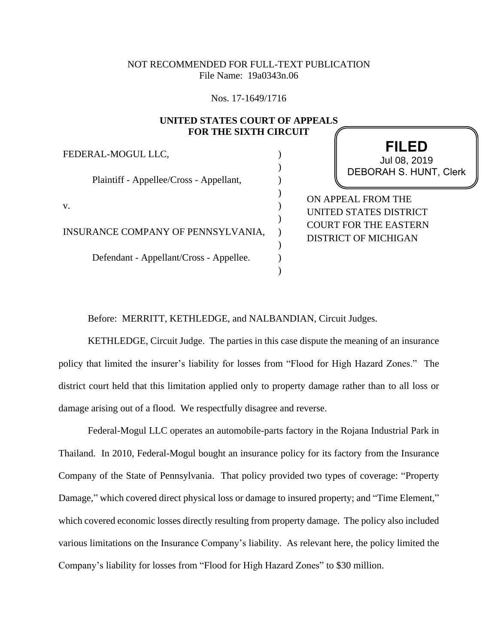## NOT RECOMMENDED FOR FULL-TEXT PUBLICATION File Name: 19a0343n.06

Nos. 17-1649/1716

## **UNITED STATES COURT OF APPEALS FOR THE SIXTH CIRCUIT**

) ) ) ) ) ) ) ) )  $\lambda$ 

FEDERAL-MOGUL LLC,

Plaintiff - Appellee/Cross - Appellant,

v.

INSURANCE COMPANY OF PENNSYLVANIA,

Defendant - Appellant/Cross - Appellee.

**FILED** DEBORAH S. HUNT, Clerk Jul 08, 2019

ON APPEAL FROM THE UNITED STATES DISTRICT COURT FOR THE EASTERN DISTRICT OF MICHIGAN

Before: MERRITT, KETHLEDGE, and NALBANDIAN, Circuit Judges.

KETHLEDGE, Circuit Judge. The parties in this case dispute the meaning of an insurance policy that limited the insurer's liability for losses from "Flood for High Hazard Zones." The district court held that this limitation applied only to property damage rather than to all loss or damage arising out of a flood. We respectfully disagree and reverse.

Federal-Mogul LLC operates an automobile-parts factory in the Rojana Industrial Park in Thailand. In 2010, Federal-Mogul bought an insurance policy for its factory from the Insurance Company of the State of Pennsylvania. That policy provided two types of coverage: "Property Damage," which covered direct physical loss or damage to insured property; and "Time Element," which covered economic losses directly resulting from property damage. The policy also included various limitations on the Insurance Company's liability. As relevant here, the policy limited the Company's liability for losses from "Flood for High Hazard Zones" to \$30 million.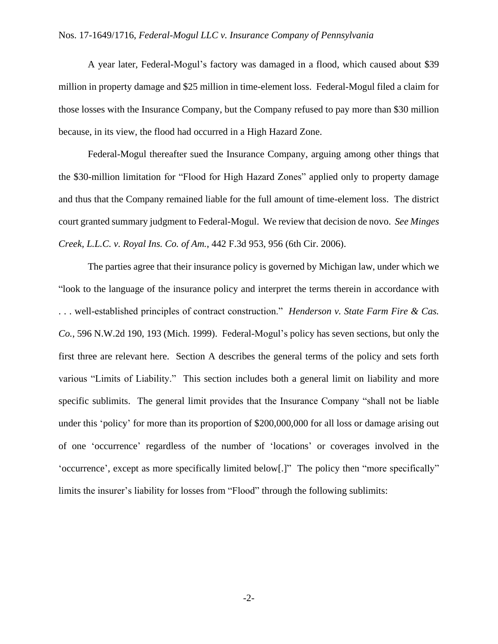## Nos. 17-1649/1716, *Federal-Mogul LLC v. Insurance Company of Pennsylvania*

A year later, Federal-Mogul's factory was damaged in a flood, which caused about \$39 million in property damage and \$25 million in time-element loss. Federal-Mogul filed a claim for those losses with the Insurance Company, but the Company refused to pay more than \$30 million because, in its view, the flood had occurred in a High Hazard Zone.

Federal-Mogul thereafter sued the Insurance Company, arguing among other things that the \$30-million limitation for "Flood for High Hazard Zones" applied only to property damage and thus that the Company remained liable for the full amount of time-element loss. The district court granted summary judgment to Federal-Mogul. We review that decision de novo. *See Minges Creek, L.L.C. v. Royal Ins. Co. of Am.*, 442 F.3d 953, 956 (6th Cir. 2006).

The parties agree that their insurance policy is governed by Michigan law, under which we "look to the language of the insurance policy and interpret the terms therein in accordance with . . . well-established principles of contract construction." *Henderson v. State Farm Fire & Cas. Co.*, 596 N.W.2d 190, 193 (Mich. 1999). Federal-Mogul's policy has seven sections, but only the first three are relevant here. Section A describes the general terms of the policy and sets forth various "Limits of Liability." This section includes both a general limit on liability and more specific sublimits. The general limit provides that the Insurance Company "shall not be liable under this 'policy' for more than its proportion of \$200,000,000 for all loss or damage arising out of one 'occurrence' regardless of the number of 'locations' or coverages involved in the 'occurrence', except as more specifically limited below[.]" The policy then "more specifically" limits the insurer's liability for losses from "Flood" through the following sublimits: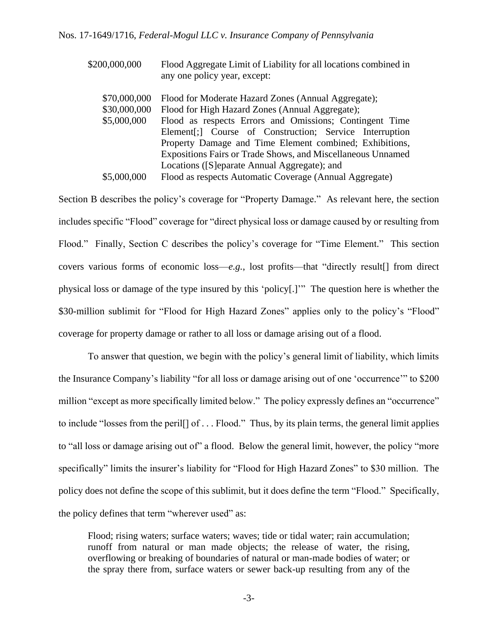| \$200,000,000 | Flood Aggregate Limit of Liability for all locations combined in<br>any one policy year, except: |
|---------------|--------------------------------------------------------------------------------------------------|
| \$70,000,000  | Flood for Moderate Hazard Zones (Annual Aggregate);                                              |
| \$30,000,000  | Flood for High Hazard Zones (Annual Aggregate);                                                  |
| \$5,000,000   | Flood as respects Errors and Omissions; Contingent Time                                          |
|               | Element[;] Course of Construction; Service Interruption                                          |
|               | Property Damage and Time Element combined; Exhibitions,                                          |
|               | Expositions Fairs or Trade Shows, and Miscellaneous Unnamed                                      |
|               | Locations (Separate Annual Aggregate); and                                                       |
| \$5,000,000   | Flood as respects Automatic Coverage (Annual Aggregate)                                          |

Section B describes the policy's coverage for "Property Damage." As relevant here, the section includes specific "Flood" coverage for "direct physical loss or damage caused by or resulting from Flood." Finally, Section C describes the policy's coverage for "Time Element." This section covers various forms of economic loss—*e.g.*, lost profits—that "directly result[] from direct physical loss or damage of the type insured by this 'policy[.]'" The question here is whether the \$30-million sublimit for "Flood for High Hazard Zones" applies only to the policy's "Flood" coverage for property damage or rather to all loss or damage arising out of a flood.

To answer that question, we begin with the policy's general limit of liability, which limits the Insurance Company's liability "for all loss or damage arising out of one 'occurrence'" to \$200 million "except as more specifically limited below." The policy expressly defines an "occurrence" to include "losses from the peril[] of . . . Flood." Thus, by its plain terms, the general limit applies to "all loss or damage arising out of" a flood. Below the general limit, however, the policy "more specifically" limits the insurer's liability for "Flood for High Hazard Zones" to \$30 million. The policy does not define the scope of this sublimit, but it does define the term "Flood." Specifically, the policy defines that term "wherever used" as:

Flood; rising waters; surface waters; waves; tide or tidal water; rain accumulation; runoff from natural or man made objects; the release of water, the rising, overflowing or breaking of boundaries of natural or man-made bodies of water; or the spray there from, surface waters or sewer back-up resulting from any of the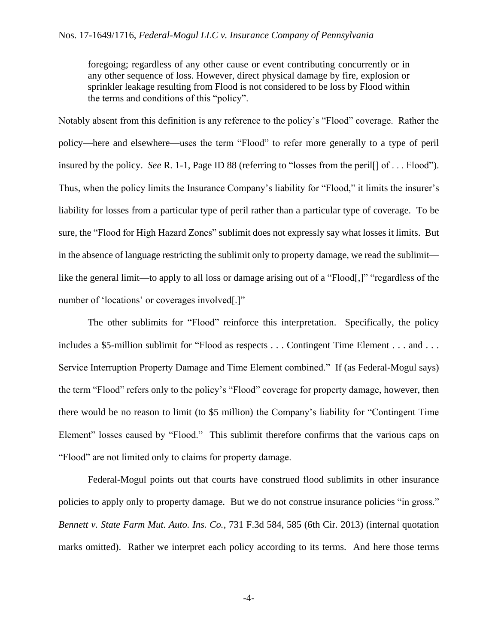foregoing; regardless of any other cause or event contributing concurrently or in any other sequence of loss. However, direct physical damage by fire, explosion or sprinkler leakage resulting from Flood is not considered to be loss by Flood within the terms and conditions of this "policy".

Notably absent from this definition is any reference to the policy's "Flood" coverage. Rather the policy—here and elsewhere—uses the term "Flood" to refer more generally to a type of peril insured by the policy. *See* R. 1-1, Page ID 88 (referring to "losses from the peril[] of . . . Flood"). Thus, when the policy limits the Insurance Company's liability for "Flood," it limits the insurer's liability for losses from a particular type of peril rather than a particular type of coverage. To be sure, the "Flood for High Hazard Zones" sublimit does not expressly say what losses it limits. But in the absence of language restricting the sublimit only to property damage, we read the sublimit like the general limit—to apply to all loss or damage arising out of a "Flood[,]" "regardless of the number of 'locations' or coverages involved[.]"

The other sublimits for "Flood" reinforce this interpretation. Specifically, the policy includes a \$5-million sublimit for "Flood as respects . . . Contingent Time Element . . . and . . . Service Interruption Property Damage and Time Element combined." If (as Federal-Mogul says) the term "Flood" refers only to the policy's "Flood" coverage for property damage, however, then there would be no reason to limit (to \$5 million) the Company's liability for "Contingent Time Element" losses caused by "Flood." This sublimit therefore confirms that the various caps on "Flood" are not limited only to claims for property damage.

Federal-Mogul points out that courts have construed flood sublimits in other insurance policies to apply only to property damage. But we do not construe insurance policies "in gross." *Bennett v. State Farm Mut. Auto. Ins. Co.*, 731 F.3d 584, 585 (6th Cir. 2013) (internal quotation marks omitted). Rather we interpret each policy according to its terms. And here those terms